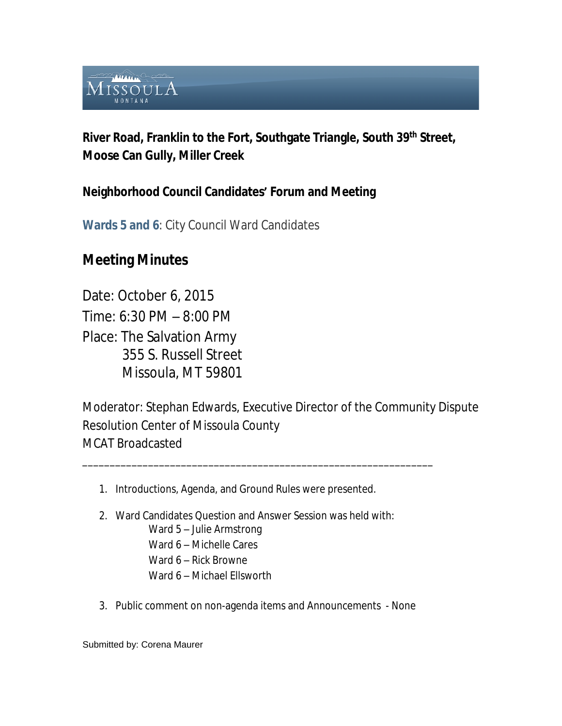

**River Road, Franklin to the Fort, Southgate Triangle, South 39th Street, Moose Can Gully, Miller Creek**

# **Neighborhood Council Candidates' Forum and Meeting**

**Wards 5 and 6**: City Council Ward Candidates

# **Meeting Minutes**

Date: October 6, 2015 Time: 6:30 PM – 8:00 PM Place: The Salvation Army 355 S. Russell Street Missoula, MT 59801

Moderator: Stephan Edwards, Executive Director of the Community Dispute Resolution Center of Missoula County MCAT Broadcasted

1. Introductions, Agenda, and Ground Rules were presented.

\_\_\_\_\_\_\_\_\_\_\_\_\_\_\_\_\_\_\_\_\_\_\_\_\_\_\_\_\_\_\_\_\_\_\_\_\_\_\_\_\_\_\_\_\_\_\_\_\_\_\_\_\_\_\_\_\_\_\_\_\_\_\_\_

- 2. Ward Candidates Question and Answer Session was held with: Ward 5 – Julie Armstrong Ward 6 – Michelle Cares Ward 6 – Rick Browne Ward 6 – Michael Ellsworth
- 3. Public comment on non-agenda items and Announcements None

Submitted by: Corena Maurer